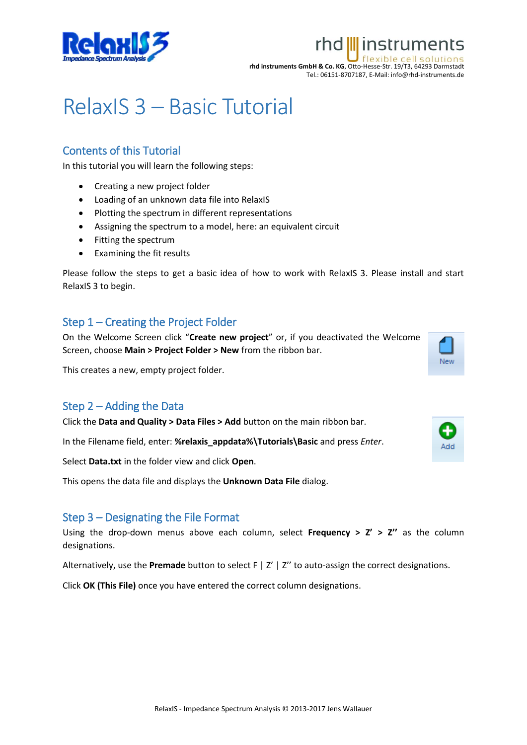

# rhd III instruments exible cell

**rhd instruments GmbH & Co. KG**, Otto-Hesse-Str. 19/T3, 64293 Darmstadt Tel.: 06151-8707187, E-Mail: info@rhd-instruments.de

# RelaxIS 3 – Basic Tutorial

# Contents of this Tutorial

In this tutorial you will learn the following steps:

- Creating a new project folder
- Loading of an unknown data file into RelaxIS
- Plotting the spectrum in different representations
- Assigning the spectrum to a model, here: an equivalent circuit
- Fitting the spectrum
- Examining the fit results

Please follow the steps to get a basic idea of how to work with RelaxIS 3. Please install and start RelaxIS 3 to begin.

# Step 1 – Creating the Project Folder

On the Welcome Screen click "**Create new project**" or, if you deactivated the Welcome Screen, choose **Main > Project Folder > New** from the ribbon bar.

This creates a new, empty project folder.

### Step 2 – Adding the Data

Click the **Data and Quality > Data Files > Add** button on the main ribbon bar.

In the Filename field, enter: **%relaxis\_appdata%\Tutorials\Basic** and press *Enter*.

Select **Data.txt** in the folder view and click **Open**.

This opens the data file and displays the **Unknown Data File** dialog.

### Step 3 – Designating the File Format

Using the drop-down menus above each column, select **Frequency > Z' > Z''** as the column designations.

Alternatively, use the **Premade** button to select F | Z' | Z'' to auto-assign the correct designations.

Click **OK (This File)** once you have entered the correct column designations.



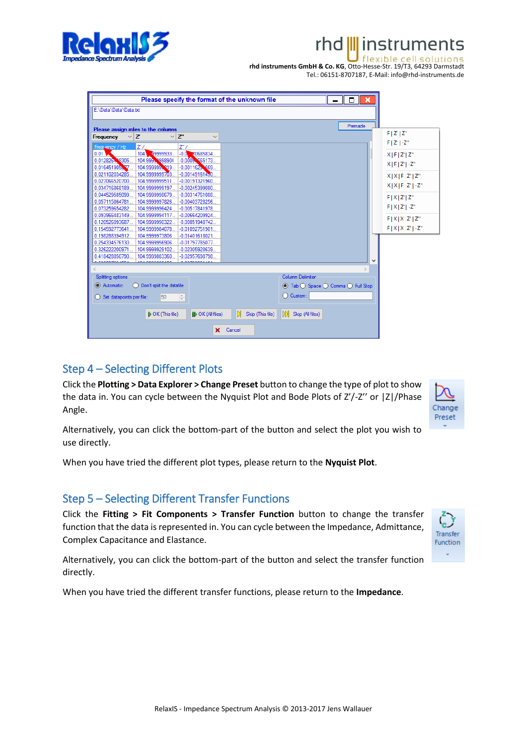

#### **III** instruments rhd

lexible cell **rhd instruments GmbH & Co. KG**, Otto-Hesse-Str. 19/T3, 64293 Darmstadt Tel.: 06151-8707187, E-Mail: info@rhd-instruments.de

| Please specify the format of the unknown file<br>$\Box$<br>- 8                                                    |                    |
|-------------------------------------------------------------------------------------------------------------------|--------------------|
| E:\Data\Data\Data.bt                                                                                              |                    |
| Premade                                                                                                           |                    |
| Please assign roles to the columns                                                                                | $F/Z'$   $Z''$     |
| $\vee$ Z<br>$Z^*$<br>Frequency<br>$\checkmark$<br>$\checkmark$                                                    |                    |
| Frequency / Hz<br>Z/<br>$Z^*/$                                                                                    | $F   Z'   -Z''$    |
| 104.<br>49999933<br>70685834.<br>0.01<br>$-0.0$                                                                   | $X$   F   Z'   Z"  |
| 0.0128264 8305<br>104.9995.9998904<br>$-0.0005$ \$65173                                                           | $X$   F   Z'   -Z" |
| 104.9999995.319<br>$-0.00116238669$<br>0.016451905877<br>0.021102034285.<br>104.9999999703.<br>$-0.00149161430.$  |                    |
| 0.027066520700<br>104.9999999511<br>$-0.00191321960$                                                              | X X F Z' Z"        |
| 0.034716868189.<br>104.9999999197<br>$-0.00245399080$                                                             | $X X F Z' -Z''$    |
| 0.044529585099<br>104.9999998679<br>$-0.00314761088$                                                              | F[X Z' Z"          |
| 0.057115864781<br>104.9999997826.<br>$-0.00403728256$                                                             |                    |
| 0.073259654282.<br>104.9999996424<br>$-0.00517841978$                                                             | $F[X Z']$ -Z"      |
| 0.093966483149<br>104.9999994117<br>$-0.00664209924$                                                              | F[X X Z' Z"        |
| 0.120526093687<br>104.9999990322.<br>$-0.00851948742.$<br>0.154592773641<br>104.9999984078<br>$-0.01092751901$    | $F[X X Z']$ -Z"    |
| 0.198288394912<br>104.9999973806<br>$-0.01401618021.$                                                             |                    |
| 0.254334576130.<br>104.9999956906.<br>$-0.01797785077$                                                            |                    |
| -0.02305928639.<br>0.326222200971<br>104.9999929102.                                                              |                    |
| 0.418428850790<br>104.9999883360.<br>$-0.02957698798$                                                             |                    |
| $\checkmark$<br><b>DESCORPCIER</b><br>104 0000000105<br>0.0270000440                                              |                    |
|                                                                                                                   |                    |
| Column Delimiter<br>Splitting options                                                                             |                    |
| Don't split the datafile<br>Automatic<br><b>■</b> Tab <b>O</b> Space <b>O</b> Comma <b>O</b> Full Stop            |                    |
| C Custom:<br>$\frac{1}{\tau}$<br>50<br>Set datapoints per file:                                                   |                    |
|                                                                                                                   |                    |
| I N<br>IМI<br><b>ID</b> OK (All files)<br>$\triangleright$ OK (This file)<br>Skip (This file)<br>Skip (All files) |                    |
| $\mathbf x$<br>Cancel                                                                                             |                    |

# Step 4 – Selecting Different Plots

Click the **Plotting > Data Explorer > Change Preset** button to change the type of plot to show the data in. You can cycle between the Nyquist Plot and Bode Plots of Z'/-Z'' or |Z|/Phase Angle.



Alternatively, you can click the bottom-part of the button and select the plot you wish to use directly.

When you have tried the different plot types, please return to the **Nyquist Plot**.

# Step 5 – Selecting Different Transfer Functions

Click the **Fitting > Fit Components > Transfer Function** button to change the transfer function that the data is represented in. You can cycle between the Impedance, Admittance, Complex Capacitance and Elastance.



Alternatively, you can click the bottom-part of the button and select the transfer function directly.

When you have tried the different transfer functions, please return to the **Impedance**.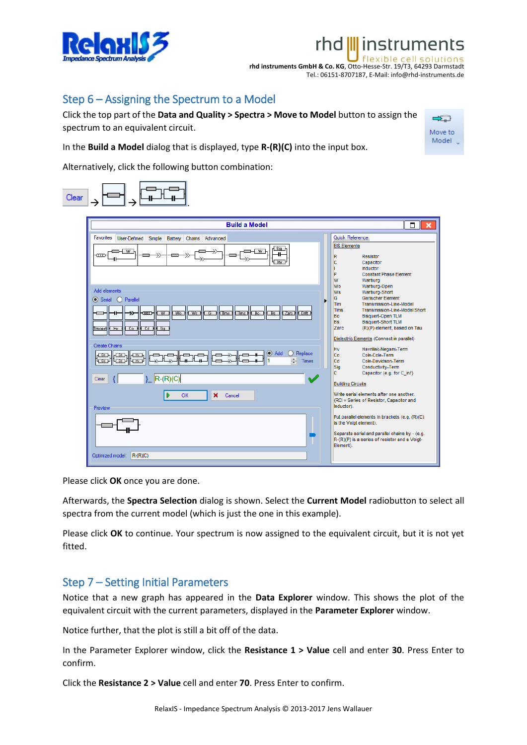

# rhd III instruments

 $\Rightarrow$ Move to Model

flexible cell! **rhd instruments GmbH & Co. KG**, Otto-Hesse-Str. 19/T3, 64293 Darmstadt Tel.: 06151-8707187, E-Mail: info@rhd-instruments.de

# Step 6 – Assigning the Spectrum to a Model

Click the top part of the **Data and Quality > Spectra > Move to Model** button to assign the spectrum to an equivalent circuit.

In the **Build a Model** dialog that is displayed, type **R-(R)(C)** into the input box.

Alternatively, click the following button combination:



Please click **OK** once you are done.

Afterwards, the **Spectra Selection** dialog is shown. Select the **Current Model** radiobutton to select all spectra from the current model (which is just the one in this example).

Please click **OK** to continue. Your spectrum is now assigned to the equivalent circuit, but it is not yet fitted.

### Step 7 – Setting Initial Parameters

Notice that a new graph has appeared in the **Data Explorer** window. This shows the plot of the equivalent circuit with the current parameters, displayed in the **Parameter Explorer** window.

Notice further, that the plot is still a bit off of the data.

In the Parameter Explorer window, click the **Resistance 1 > Value** cell and enter **30**. Press Enter to confirm.

Click the **Resistance 2 > Value** cell and enter **70**. Press Enter to confirm.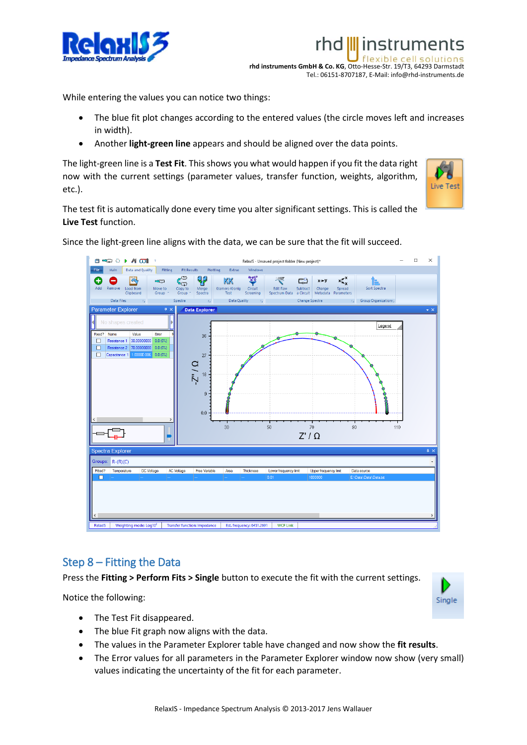

flexible **rhd instruments GmbH & Co. KG**, Otto-Hesse-Str. 19/T3, 64293 Darmstadt Tel.: 06151-8707187, E-Mail: info@rhd-instruments.de

rhd III instruments

While entering the values you can notice two things:

- The blue fit plot changes according to the entered values (the circle moves left and increases in width).
- Another **light-green line** appears and should be aligned over the data points.

The light-green line is a **Test Fit**. This shows you what would happen if you fit the data right now with the current settings (parameter values, transfer function, weights, algorithm, etc.).



The test fit is automatically done every time you alter significant settings. This is called the **Live Test** function.

Since the light-green line aligns with the data, we can be sure that the fit will succeed.



### Step 8 – Fitting the Data

Press the **Fitting > Perform Fits > Single** button to execute the fit with the current settings.

Notice the following:



- The Test Fit disappeared.
- The blue Fit graph now aligns with the data.
- The values in the Parameter Explorer table have changed and now show the **fit results**.
- The Error values for all parameters in the Parameter Explorer window now show (very small) values indicating the uncertainty of the fit for each parameter.